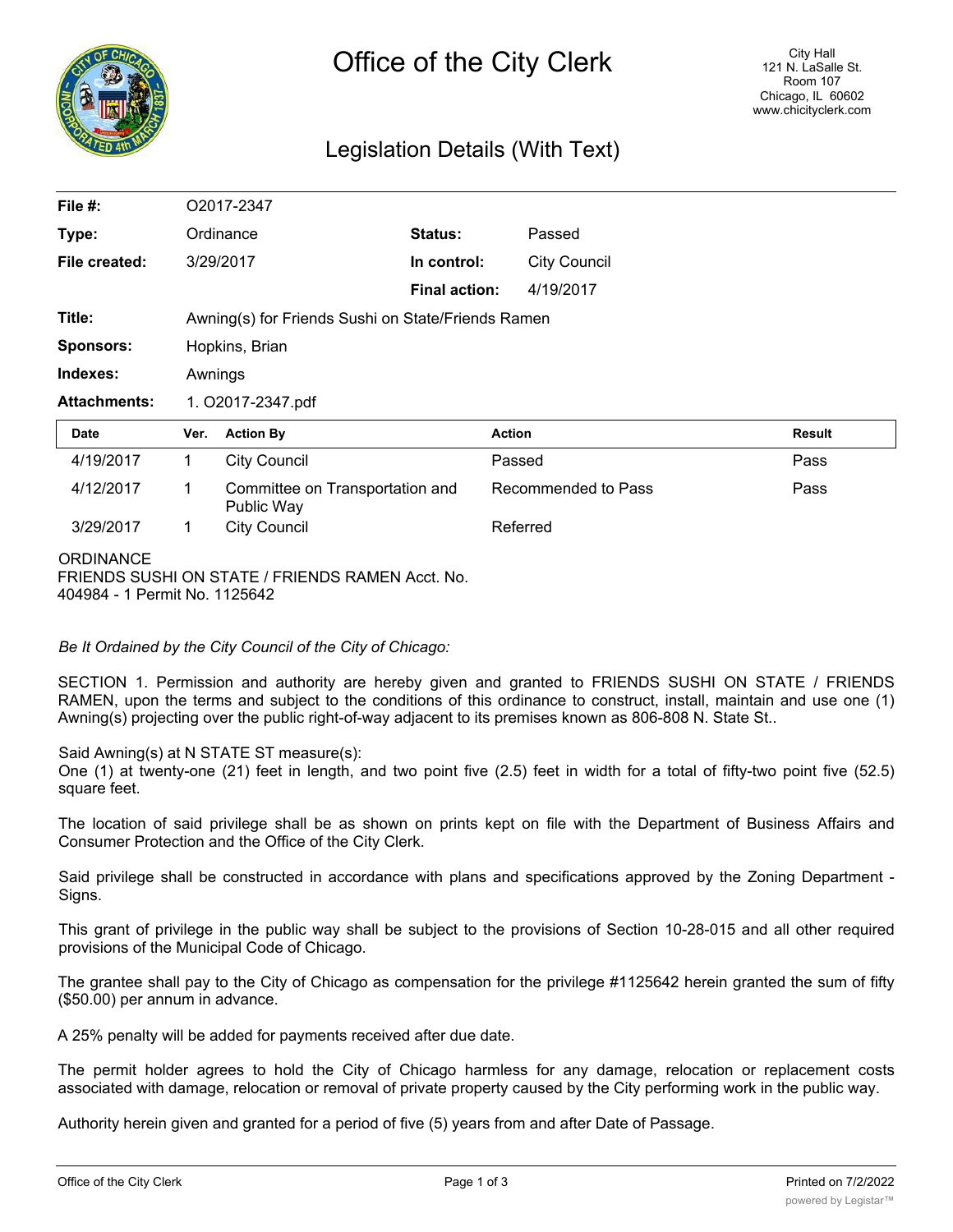

# Legislation Details (With Text)

| File #:                                                                   | O2017-2347                                         |                                               |                      |                     |        |  |  |  |
|---------------------------------------------------------------------------|----------------------------------------------------|-----------------------------------------------|----------------------|---------------------|--------|--|--|--|
| Type:                                                                     |                                                    | Ordinance                                     | Status:              | Passed              |        |  |  |  |
| File created:                                                             |                                                    | 3/29/2017                                     | In control:          | <b>City Council</b> |        |  |  |  |
|                                                                           |                                                    |                                               | <b>Final action:</b> | 4/19/2017           |        |  |  |  |
| Title:                                                                    | Awning(s) for Friends Sushi on State/Friends Ramen |                                               |                      |                     |        |  |  |  |
| <b>Sponsors:</b>                                                          | Hopkins, Brian                                     |                                               |                      |                     |        |  |  |  |
| Indexes:                                                                  | Awnings                                            |                                               |                      |                     |        |  |  |  |
| <b>Attachments:</b>                                                       | 1. O2017-2347.pdf                                  |                                               |                      |                     |        |  |  |  |
| Date                                                                      | Ver.                                               | <b>Action By</b>                              |                      | <b>Action</b>       | Result |  |  |  |
| 4/19/2017                                                                 | $\mathbf{1}$                                       | <b>City Council</b>                           |                      | Passed              | Pass   |  |  |  |
| 4/12/2017                                                                 | 1                                                  | Committee on Transportation and<br>Public Way |                      | Recommended to Pass | Pass   |  |  |  |
| 3/29/2017                                                                 | 1.                                                 | <b>City Council</b>                           |                      | Referred            |        |  |  |  |
| <b>ORDINANCE</b><br>$\Gamma$ DIENDO OUQUEON OTATE (EDIENDO DAMENTA - + N. |                                                    |                                               |                      |                     |        |  |  |  |

FRIENDS SUSHI ON STATE / FRIENDS RAMEN Acct. No. 404984 - 1 Permit No. 1125642

*Be It Ordained by the City Council of the City of Chicago:*

SECTION 1. Permission and authority are hereby given and granted to FRIENDS SUSHI ON STATE / FRIENDS RAMEN, upon the terms and subject to the conditions of this ordinance to construct, install, maintain and use one (1) Awning(s) projecting over the public right-of-way adjacent to its premises known as 806-808 N. State St..

Said Awning(s) at N STATE ST measure(s):

One (1) at twenty-one (21) feet in length, and two point five (2.5) feet in width for a total of fifty-two point five (52.5) square feet.

The location of said privilege shall be as shown on prints kept on file with the Department of Business Affairs and Consumer Protection and the Office of the City Clerk.

Said privilege shall be constructed in accordance with plans and specifications approved by the Zoning Department - Signs.

This grant of privilege in the public way shall be subject to the provisions of Section 10-28-015 and all other required provisions of the Municipal Code of Chicago.

The grantee shall pay to the City of Chicago as compensation for the privilege #1125642 herein granted the sum of fifty (\$50.00) per annum in advance.

A 25% penalty will be added for payments received after due date.

The permit holder agrees to hold the City of Chicago harmless for any damage, relocation or replacement costs associated with damage, relocation or removal of private property caused by the City performing work in the public way.

Authority herein given and granted for a period of five (5) years from and after Date of Passage.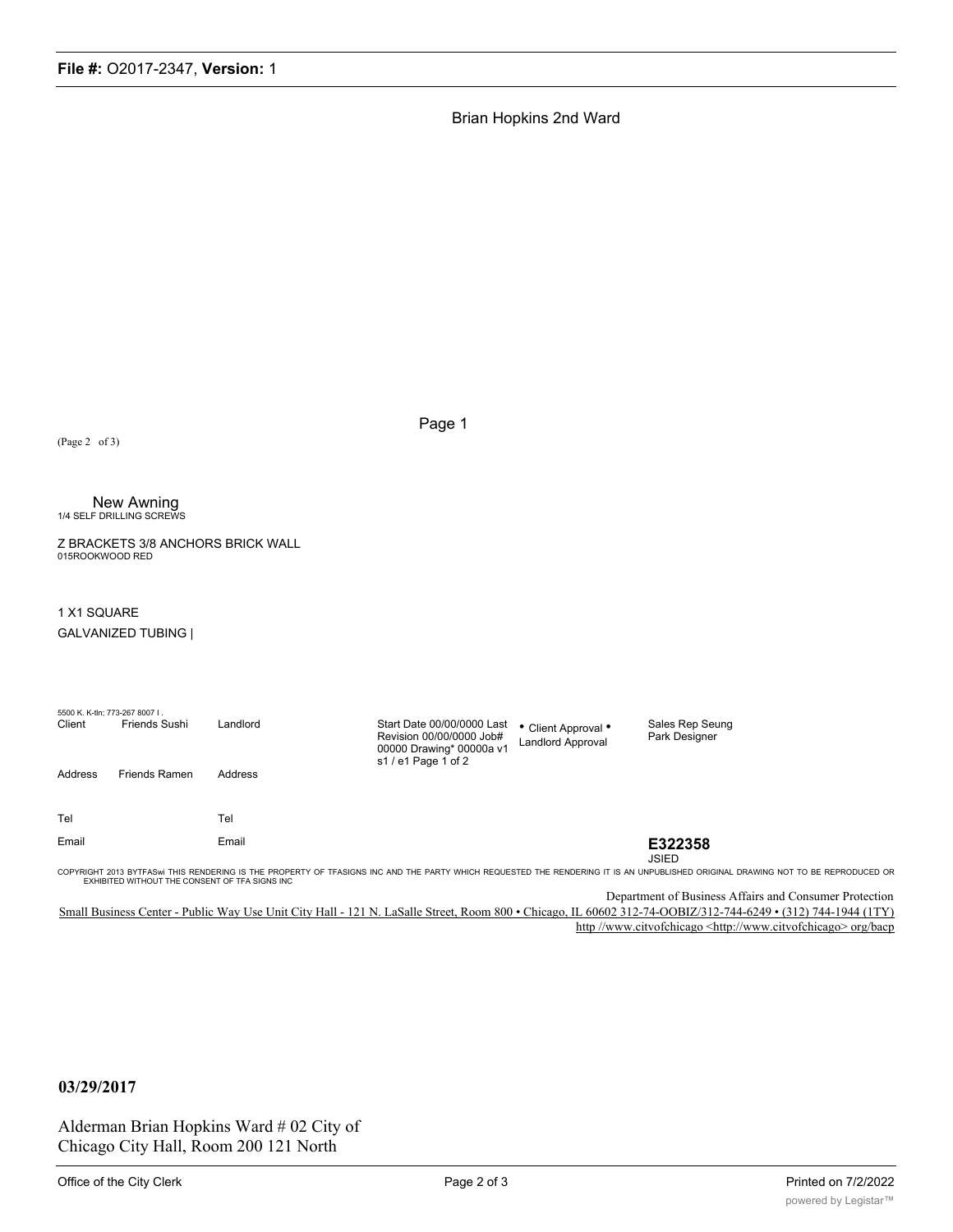Brian Hopkins 2nd Ward

(Page 2 of 3)

Page 1

# **New Awning<br>1/4 SELF DRILLING SCREWS**

Z BRACKETS 3/8 ANCHORS BRICK WALL 015ROOKWOOD RED

#### 1 X1 SQUARE

GALVANIZED TUBING |

| 5500 K. K-tln; 773-267 8007 I.<br>Client | <b>Friends Sushi</b>                            | Landlord | Start Date 00/00/0000 Last<br>Revision 00/00/0000 Job#<br>00000 Drawing* 00000a v1 | • Client Approval •<br>Landlord Approval | Sales Rep Seung<br>Park Designer                                                                                                                                                 |
|------------------------------------------|-------------------------------------------------|----------|------------------------------------------------------------------------------------|------------------------------------------|----------------------------------------------------------------------------------------------------------------------------------------------------------------------------------|
| Address                                  | <b>Friends Ramen</b>                            | Address  | s1 / e1 Page 1 of 2                                                                |                                          |                                                                                                                                                                                  |
| Tel                                      |                                                 | Tel      |                                                                                    |                                          |                                                                                                                                                                                  |
| Email                                    |                                                 | Email    |                                                                                    |                                          | E322358                                                                                                                                                                          |
|                                          |                                                 |          |                                                                                    |                                          | <b>JSIED</b>                                                                                                                                                                     |
|                                          | EXHIBITED WITHOUT THE CONSENT OF TFA SIGNS INC. |          |                                                                                    |                                          | COPYRIGHT 2013 BYTFASWI THIS RENDERING IS THE PROPERTY OF TFASIGNS INC AND THE PARTY WHICH REQUESTED THE RENDERING IT IS AN UNPUBLISHED ORIGINAL DRAWING NOT TO BE REPRODUCED OR |

Department of Business Affairs and Consumer Protection

Small Business Center - Public Way Use Unit City Hall - 121 N. LaSalle Street, Room 800 • Chicago, IL 60602 312-74-OOBIZ/312-744-6249 • (312) 744-1944 (1TY) http //www.citvofchicago <http://www.citvofchicago> org/bacp

## **03/29/2017**

Alderman Brian Hopkins Ward # 02 City of Chicago City Hall, Room 200 121 North